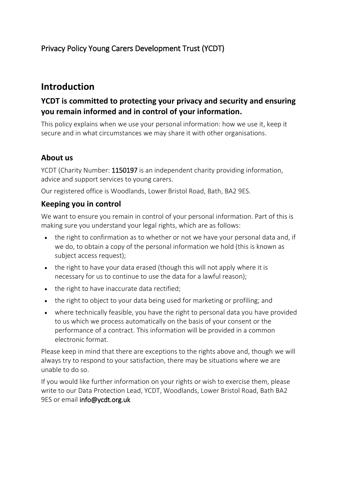## Privacy Policy Young Carers Development Trust (YCDT)

# **Introduction**

## **YCDT is committed to protecting your privacy and security and ensuring you remain informed and in control of your information.**

This policy explains when we use your personal information: how we use it, keep it secure and in what circumstances we may share it with other organisations.

### **About us**

YCDT (Charity Number: 1150197 is an independent charity providing information, advice and support services to young carers.

Our registered office is Woodlands, Lower Bristol Road, Bath, BA2 9ES.

### **Keeping you in control**

We want to ensure you remain in control of your personal information. Part of this is making sure you understand your legal rights, which are as follows:

- the right to confirmation as to whether or not we have your personal data and, if we do, to obtain a copy of the personal information we hold (this is known as subject access request);
- the right to have your data erased (though this will not apply where it is necessary for us to continue to use the data for a lawful reason);
- the right to have inaccurate data rectified;
- the right to object to your data being used for marketing or profiling; and
- where technically feasible, you have the right to personal data you have provided to us which we process automatically on the basis of your consent or the performance of a contract. This information will be provided in a common electronic format.

Please keep in mind that there are exceptions to the rights above and, though we will always try to respond to your satisfaction, there may be situations where we are unable to do so.

If you would like further information on your rights or wish to exercise them, please write to our Data Protection Lead, YCDT, Woodlands, Lower Bristol Road, Bath BA2 9ES or email info@ycdt.org.uk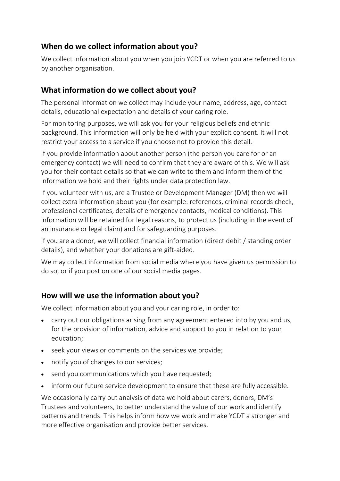### **When do we collect information about you?**

We collect information about you when you join YCDT or when you are referred to us by another organisation.

### **What information do we collect about you?**

The personal information we collect may include your name, address, age, contact details, educational expectation and details of your caring role.

For monitoring purposes, we will ask you for your religious beliefs and ethnic background. This information will only be held with your explicit consent. It will not restrict your access to a service if you choose not to provide this detail.

If you provide information about another person (the person you care for or an emergency contact) we will need to confirm that they are aware of this. We will ask you for their contact details so that we can write to them and inform them of the information we hold and their rights under data protection law.

If you volunteer with us, are a Trustee or Development Manager (DM) then we will collect extra information about you (for example: references, criminal records check, professional certificates, details of emergency contacts, medical conditions). This information will be retained for legal reasons, to protect us (including in the event of an insurance or legal claim) and for safeguarding purposes.

If you are a donor, we will collect financial information (direct debit / standing order details), and whether your donations are gift-aided.

We may collect information from social media where you have given us permission to do so, or if you post on one of our social media pages.

### **How will we use the information about you?**

We collect information about you and your caring role, in order to:

- carry out our obligations arising from any agreement entered into by you and us, for the provision of information, advice and support to you in relation to your education;
- seek your views or comments on the services we provide;
- notify you of changes to our services;
- send you communications which you have requested;
- inform our future service development to ensure that these are fully accessible.

We occasionally carry out analysis of data we hold about carers, donors, DM's Trustees and volunteers, to better understand the value of our work and identify patterns and trends. This helps inform how we work and make YCDT a stronger and more effective organisation and provide better services.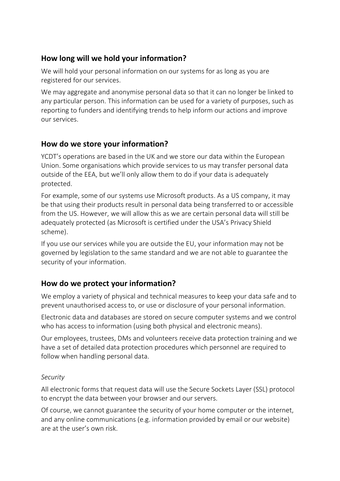## **How long will we hold your information?**

We will hold your personal information on our systems for as long as you are registered for our services.

We may aggregate and anonymise personal data so that it can no longer be linked to any particular person. This information can be used for a variety of purposes, such as reporting to funders and identifying trends to help inform our actions and improve our services.

## **How do we store your information?**

YCDT's operations are based in the UK and we store our data within the European Union. Some organisations which provide services to us may transfer personal data outside of the EEA, but we'll only allow them to do if your data is adequately protected.

For example, some of our systems use Microsoft products. As a US company, it may be that using their products result in personal data being transferred to or accessible from the US. However, we will allow this as we are certain personal data will still be adequately protected (as Microsoft is certified under the USA's Privacy Shield scheme).

If you use our services while you are outside the EU, your information may not be governed by legislation to the same standard and we are not able to guarantee the security of your information.

## **How do we protect your information?**

We employ a variety of physical and technical measures to keep your data safe and to prevent unauthorised access to, or use or disclosure of your personal information.

Electronic data and databases are stored on secure computer systems and we control who has access to information (using both physical and electronic means).

Our employees, trustees, DMs and volunteers receive data protection training and we have a set of detailed data protection procedures which personnel are required to follow when handling personal data.

#### *Security*

All electronic forms that request data will use the Secure Sockets Layer (SSL) protocol to encrypt the data between your browser and our servers.

Of course, we cannot guarantee the security of your home computer or the internet, and any online communications (e.g. information provided by email or our website) are at the user's own risk.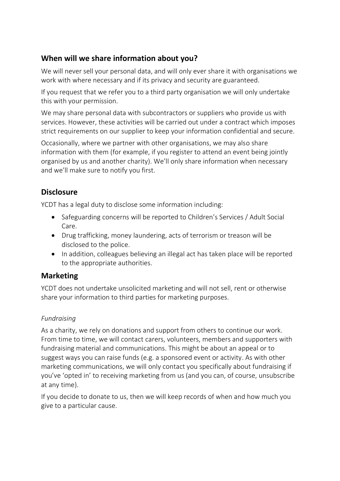## **When will we share information about you?**

We will never sell your personal data, and will only ever share it with organisations we work with where necessary and if its privacy and security are guaranteed.

If you request that we refer you to a third party organisation we will only undertake this with your permission.

We may share personal data with subcontractors or suppliers who provide us with services. However, these activities will be carried out under a contract which imposes strict requirements on our supplier to keep your information confidential and secure.

Occasionally, where we partner with other organisations, we may also share information with them (for example, if you register to attend an event being jointly organised by us and another charity). We'll only share information when necessary and we'll make sure to notify you first.

## **Disclosure**

YCDT has a legal duty to disclose some information including:

- Safeguarding concerns will be reported to Children's Services / Adult Social Care.
- Drug trafficking, money laundering, acts of terrorism or treason will be disclosed to the police.
- In addition, colleagues believing an illegal act has taken place will be reported to the appropriate authorities.

## **Marketing**

YCDT does not undertake unsolicited marketing and will not sell, rent or otherwise share your information to third parties for marketing purposes.

### *Fundraising*

As a charity, we rely on donations and support from others to continue our work. From time to time, we will contact carers, volunteers, members and supporters with fundraising material and communications. This might be about an appeal or to suggest ways you can raise funds (e.g. a sponsored event or activity. As with other marketing communications, we will only contact you specifically about fundraising if you've 'opted in' to receiving marketing from us (and you can, of course, unsubscribe at any time).

If you decide to donate to us, then we will keep records of when and how much you give to a particular cause.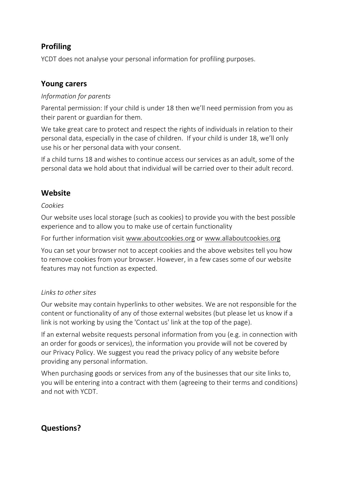## **Profiling**

YCDT does not analyse your personal information for profiling purposes.

### **Young carers**

#### *Information for parents*

Parental permission: If your child is under 18 then we'll need permission from you as their parent or guardian for them.

We take great care to protect and respect the rights of individuals in relation to their personal data, especially in the case of children. If your child is under 18, we'll only use his or her personal data with your consent.

If a child turns 18 and wishes to continue access our services as an adult, some of the personal data we hold about that individual will be carried over to their adult record.

## **Website**

#### *Cookies*

Our website uses local storage (such as cookies) to provide you with the best possible experience and to allow you to make use of certain functionality

For further information visit [www.aboutcookies.org](http://www.aboutcookies.org/) or [www.allaboutcookies.org](http://www.allaboutcookies.org/)

You can set your browser not to accept cookies and the above websites tell you how to remove cookies from your browser. However, in a few cases some of our website features may not function as expected.

#### *Links to other sites*

Our website may contain hyperlinks to other websites. We are not responsible for the content or functionality of any of those external websites (but please let us know if a link is not working by using the 'Contact us' link at the top of the page).

If an external website requests personal information from you (e.g. in connection with an order for goods or services), the information you provide will not be covered by our Privacy Policy. We suggest you read the privacy policy of any website before providing any personal information.

When purchasing goods or services from any of the businesses that our site links to, you will be entering into a contract with them (agreeing to their terms and conditions) and not with YCDT.

## **Questions?**